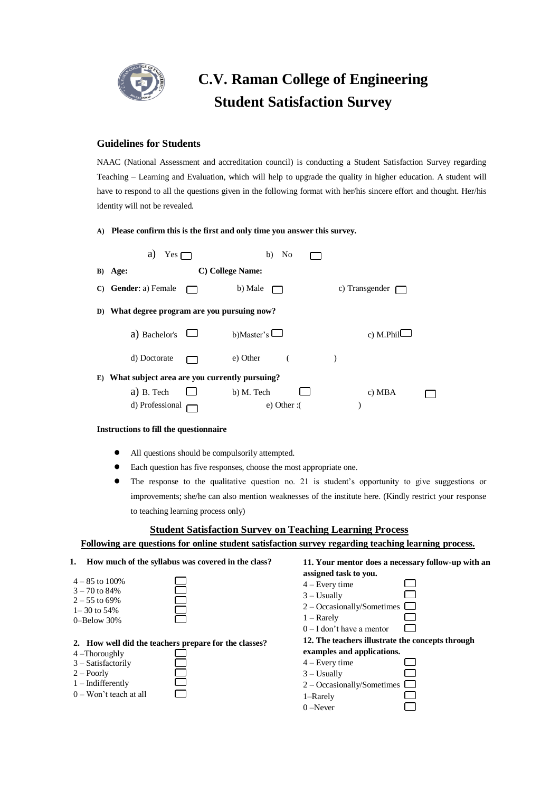

## **C.V. Raman College of Engineering Student Satisfaction Survey**

## **Guidelines for Students**

NAAC (National Assessment and accreditation council) is conducting a Student Satisfaction Survey regarding Teaching – Learning and Evaluation, which will help to upgrade the quality in higher education. A student will have to respond to all the questions given in the following format with her/his sincere effort and thought. Her/his identity will not be revealed.

**A) Please confirm this is the first and only time you answer this survey.**

|                                               | a)<br>$Yes \Box$                                | No<br>b)          |                       |  |  |  |  |
|-----------------------------------------------|-------------------------------------------------|-------------------|-----------------------|--|--|--|--|
|                                               | B) Age:                                         | C) College Name:  |                       |  |  |  |  |
| C)                                            | <b>Gender:</b> a) Female                        | b) Male           | c) Transgender $\Box$ |  |  |  |  |
| D)                                            | What degree program are you pursuing now?       |                   |                       |  |  |  |  |
|                                               | a) Bachelor's                                   | b)Master's $\Box$ | c) M.Phil $\Box$      |  |  |  |  |
|                                               | d) Doctorate                                    | e) Other          |                       |  |  |  |  |
| E)                                            | What subject area are you currently pursuing?   |                   |                       |  |  |  |  |
|                                               | $a)$ B. Tech<br>$\Box$                          | b) M. Tech        | c) MBA                |  |  |  |  |
|                                               | d) Professional                                 | $e)$ Other :(     |                       |  |  |  |  |
| <b>Instructions to fill the questionnaire</b> |                                                 |                   |                       |  |  |  |  |
|                                               | All questions should be compulsorily attempted. |                   |                       |  |  |  |  |

- Each question has five responses, choose the most appropriate one.
- The response to the qualitative question no. 21 is student's opportunity to give suggestions or improvements; she/he can also mention weaknesses of the institute here. (Kindly restrict your response to teaching learning process only)

## **Student Satisfaction Survey on Teaching Learning Process**

## **Following are questions for online student satisfaction survey regarding teaching learning process.**

| How much of the syllabus was covered in the class?<br>1.                                                                                                              | 11. Your mentor does a necessary follow-up with an                                                                                                                                    |
|-----------------------------------------------------------------------------------------------------------------------------------------------------------------------|---------------------------------------------------------------------------------------------------------------------------------------------------------------------------------------|
| $4 - 85$ to 100%<br>$3 - 70$ to 84%<br>$2 - 55$ to 69%<br>$1 - 30$ to 54%<br>$0$ -Below 30%                                                                           | assigned task to you.<br>$4 - Every time$<br>$3 -$ Usually<br>$2 - Occasionally/Sometimes$<br>$1 -$ Rarely<br>$0 - I$ don't have a mentor                                             |
| 2. How well did the teachers prepare for the classes?<br>$4$ –Thoroughly<br>$3 - S$ atisfactorily<br>$2 -$ Poorly<br>$1 - Indifferently$<br>$0 - W$ on't teach at all | 12. The teachers illustrate the concepts through<br>examples and applications.<br>$4 - Every time$<br>$3 -$ Usually<br>$2$ – Occasionally/Sometimes $\Box$<br>1-Rarely<br>$0 -$ Never |